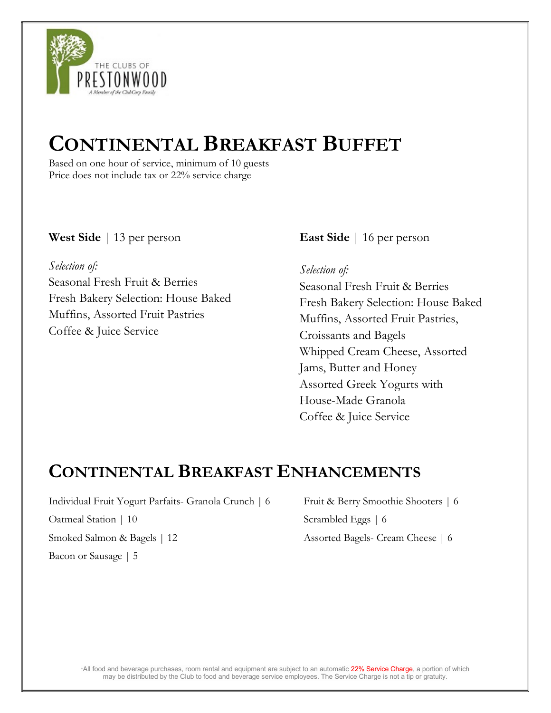

# CONTINENTAL BREAKFAST BUFFET

Based on one hour of service, minimum of 10 guests Price does not include tax or 22% service charge

### West Side | 13 per person

Selection of: Seasonal Fresh Fruit & Berries Fresh Bakery Selection: House Baked Muffins, Assorted Fruit Pastries Coffee & Juice Service

East Side | 16 per person

Coffee & Juice Service

Selection of: Seasonal Fresh Fruit & Berries Fresh Bakery Selection: House Baked Muffins, Assorted Fruit Pastries, Croissants and Bagels Whipped Cream Cheese, Assorted Jams, Butter and Honey Assorted Greek Yogurts with House-Made Granola

## CONTINENTAL BREAKFAST ENHANCEMENTS

Individual Fruit Yogurt Parfaits- Granola Crunch | 6 Oatmeal Station | 10 Smoked Salmon & Bagels | 12 Bacon or Sausage | 5

Fruit & Berry Smoothie Shooters | 6 Scrambled Eggs | 6 Assorted Bagels- Cream Cheese | 6

\*All food and beverage purchases, room rental and equipment are subject to an automatic 22% Service Charge, a portion of which may be distributed by the Club to food and beverage service employees. The Service Charge is not a tip or gratuity.